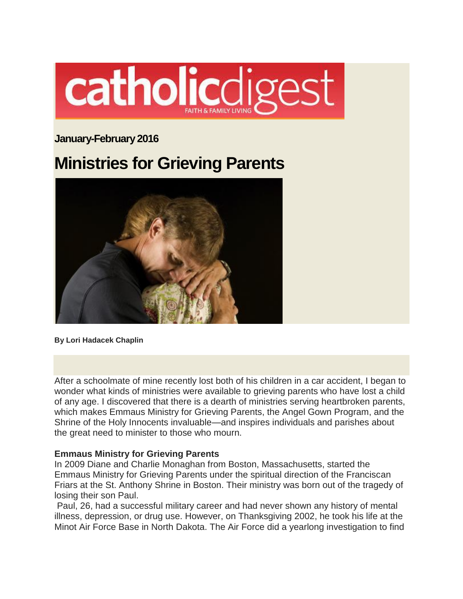

# **January-February 2016**

# **Ministries for Grieving Parents**



**By Lori Hadacek Chaplin**

After a schoolmate of mine recently lost both of his children in a car accident, I began to wonder what kinds of ministries were available to grieving parents who have lost a child of any age. I discovered that there is a dearth of ministries serving heartbroken parents, which makes Emmaus Ministry for Grieving Parents, the Angel Gown Program, and the Shrine of the Holy Innocents invaluable—and inspires individuals and parishes about the great need to minister to those who mourn.

#### **Emmaus Ministry for Grieving Parents**

In 2009 Diane and Charlie Monaghan from Boston, Massachusetts, started the Emmaus Ministry for Grieving Parents under the spiritual direction of the Franciscan Friars at the St. Anthony Shrine in Boston. Their ministry was born out of the tragedy of losing their son Paul.

Paul, 26, had a successful military career and had never shown any history of mental illness, depression, or drug use. However, on Thanksgiving 2002, he took his life at the Minot Air Force Base in North Dakota. The Air Force did a yearlong investigation to find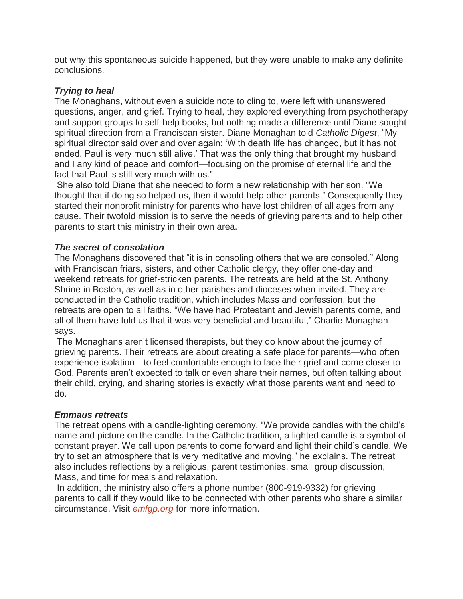out why this spontaneous suicide happened, but they were unable to make any definite conclusions.

### *Trying to heal*

The Monaghans, without even a suicide note to cling to, were left with unanswered questions, anger, and grief. Trying to heal, they explored everything from psychotherapy and support groups to self-help books, but nothing made a difference until Diane sought spiritual direction from a Franciscan sister. Diane Monaghan told *Catholic Digest*, "My spiritual director said over and over again: 'With death life has changed, but it has not ended. Paul is very much still alive.' That was the only thing that brought my husband and I any kind of peace and comfort—focusing on the promise of eternal life and the fact that Paul is still very much with us."

She also told Diane that she needed to form a new relationship with her son. "We thought that if doing so helped us, then it would help other parents." Consequently they started their nonprofit ministry for parents who have lost children of all ages from any cause. Their twofold mission is to serve the needs of grieving parents and to help other parents to start this ministry in their own area.

## *The secret of consolation*

The Monaghans discovered that "it is in consoling others that we are consoled." Along with Franciscan friars, sisters, and other Catholic clergy, they offer one-day and weekend retreats for grief-stricken parents. The retreats are held at the St. Anthony Shrine in Boston, as well as in other parishes and dioceses when invited. They are conducted in the Catholic tradition, which includes Mass and confession, but the retreats are open to all faiths. "We have had Protestant and Jewish parents come, and all of them have told us that it was very beneficial and beautiful," Charlie Monaghan says.

The Monaghans aren't licensed therapists, but they do know about the journey of grieving parents. Their retreats are about creating a safe place for parents—who often experience isolation—to feel comfortable enough to face their grief and come closer to God. Parents aren't expected to talk or even share their names, but often talking about their child, crying, and sharing stories is exactly what those parents want and need to do.

#### *Emmaus retreats*

The retreat opens with a candle-lighting ceremony. "We provide candles with the child's name and picture on the candle. In the Catholic tradition, a lighted candle is a symbol of constant prayer. We call upon parents to come forward and light their child's candle. We try to set an atmosphere that is very meditative and moving," he explains. The retreat also includes reflections by a religious, parent testimonies, small group discussion, Mass, and time for meals and relaxation.

In addition, the ministry also offers a phone number (800-919-9332) for grieving parents to call if they would like to be connected with other parents who share a similar circumstance. Visit *[emfgp.org](http://emfgp.org/)* for more information.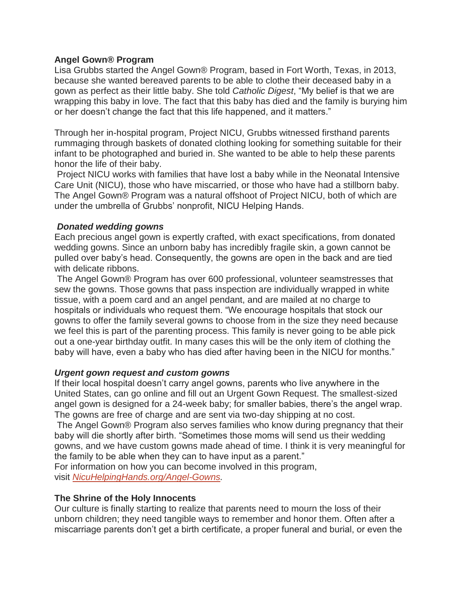#### **Angel Gown® Program**

Lisa Grubbs started the Angel Gown® Program, based in Fort Worth, Texas, in 2013, because she wanted bereaved parents to be able to clothe their deceased baby in a gown as perfect as their little baby. She told *Catholic Digest*, "My belief is that we are wrapping this baby in love. The fact that this baby has died and the family is burying him or her doesn't change the fact that this life happened, and it matters."

Through her in-hospital program, Project NICU, Grubbs witnessed firsthand parents rummaging through baskets of donated clothing looking for something suitable for their infant to be photographed and buried in. She wanted to be able to help these parents honor the life of their baby.

Project NICU works with families that have lost a baby while in the Neonatal Intensive Care Unit (NICU), those who have miscarried, or those who have had a stillborn baby. The Angel Gown® Program was a natural offshoot of Project NICU, both of which are under the umbrella of Grubbs' nonprofit, NICU Helping Hands.

#### *Donated wedding gowns*

Each precious angel gown is expertly crafted, with exact specifications, from donated wedding gowns. Since an unborn baby has incredibly fragile skin, a gown cannot be pulled over baby's head. Consequently, the gowns are open in the back and are tied with delicate ribbons.

The Angel Gown® Program has over 600 professional, volunteer seamstresses that sew the gowns. Those gowns that pass inspection are individually wrapped in white tissue, with a poem card and an angel pendant, and are mailed at no charge to hospitals or individuals who request them. "We encourage hospitals that stock our gowns to offer the family several gowns to choose from in the size they need because we feel this is part of the parenting process. This family is never going to be able pick out a one-year birthday outfit. In many cases this will be the only item of clothing the baby will have, even a baby who has died after having been in the NICU for months."

#### *Urgent gown request and custom gowns*

If their local hospital doesn't carry angel gowns, parents who live anywhere in the United States, can go online and fill out an Urgent Gown Request. The smallest-sized angel gown is designed for a 24-week baby; for smaller babies, there's the angel wrap. The gowns are free of charge and are sent via two-day shipping at no cost.

The Angel Gown® Program also serves families who know during pregnancy that their baby will die shortly after birth. "Sometimes those moms will send us their wedding gowns, and we have custom gowns made ahead of time. I think it is very meaningful for the family to be able when they can to have input as a parent."

For information on how you can become involved in this program, visit *[NicuHelpingHands.org/Angel-Gowns.](http://www.nicuhelpinghands.org/urgent-gown-requests/)*

#### **The Shrine of the Holy Innocents**

Our culture is finally starting to realize that parents need to mourn the loss of their unborn children; they need tangible ways to remember and honor them. Often after a miscarriage parents don't get a birth certificate, a proper funeral and burial, or even the